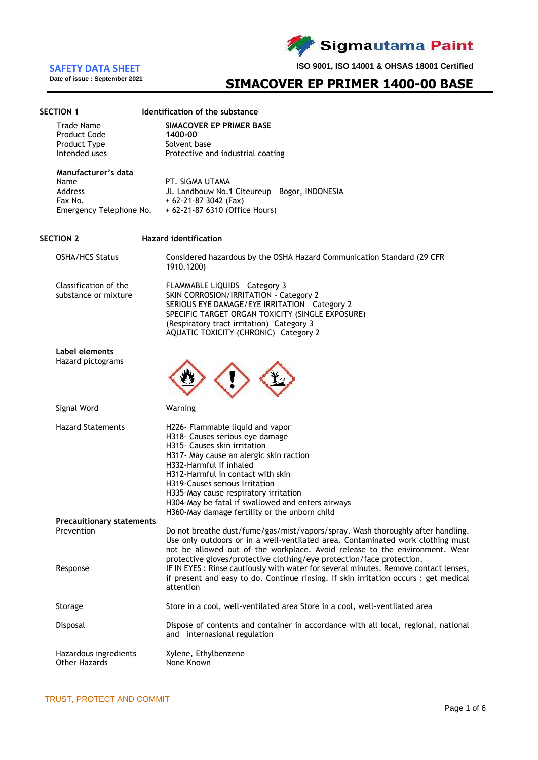

**Date of issue : September 2021**

**ISO 9001, ISO 14001 & OHSAS 18001 Certified**

## **SIMACOVER EP PRIMER 1400-00 BASE**

| <b>SECTION 1</b>                               | Identification of the substance                                                                                                                                                                                                                                    |
|------------------------------------------------|--------------------------------------------------------------------------------------------------------------------------------------------------------------------------------------------------------------------------------------------------------------------|
| Trade Name                                     | SIMACOVER EP PRIMER BASE                                                                                                                                                                                                                                           |
| <b>Product Code</b><br>Product Type            | 1400-00<br>Solvent base                                                                                                                                                                                                                                            |
| Intended uses                                  | Protective and industrial coating                                                                                                                                                                                                                                  |
| Manufacturer's data                            |                                                                                                                                                                                                                                                                    |
| Name<br>Address                                | PT. SIGMA UTAMA<br>Jl. Landbouw No.1 Citeureup - Bogor, INDONESIA                                                                                                                                                                                                  |
| Fax No.                                        | $+62-21-873042$ (Fax)                                                                                                                                                                                                                                              |
| Emergency Telephone No.                        | + 62-21-87 6310 (Office Hours)                                                                                                                                                                                                                                     |
| SECTION 2                                      | <b>Hazard identification</b>                                                                                                                                                                                                                                       |
| <b>OSHA/HCS Status</b>                         | Considered hazardous by the OSHA Hazard Communication Standard (29 CFR<br>1910.1200)                                                                                                                                                                               |
| Classification of the                          | FLAMMABLE LIQUIDS - Category 3                                                                                                                                                                                                                                     |
| substance or mixture                           | SKIN CORROSION/IRRITATION - Category 2<br>SERIOUS EYE DAMAGE/EYE IRRITATION - Category 2                                                                                                                                                                           |
|                                                | SPECIFIC TARGET ORGAN TOXICITY (SINGLE EXPOSURE)                                                                                                                                                                                                                   |
|                                                | (Respiratory tract irritation) - Category 3                                                                                                                                                                                                                        |
|                                                | <b>AQUATIC TOXICITY (CHRONIC)- Category 2</b>                                                                                                                                                                                                                      |
| Label elements<br>Hazard pictograms            |                                                                                                                                                                                                                                                                    |
| Signal Word                                    | Warning                                                                                                                                                                                                                                                            |
| <b>Hazard Statements</b>                       | H226- Flammable liquid and vapor                                                                                                                                                                                                                                   |
|                                                | H318- Causes serious eye damage                                                                                                                                                                                                                                    |
|                                                | H315- Causes skin irritation<br>H317- May cause an alergic skin raction                                                                                                                                                                                            |
|                                                | H332-Harmful if inhaled                                                                                                                                                                                                                                            |
|                                                | H312-Harmful in contact with skin                                                                                                                                                                                                                                  |
|                                                | H319-Causes serious Irritation<br>H335-May cause respiratory irritation                                                                                                                                                                                            |
|                                                | H304-May be fatal if swallowed and enters airways                                                                                                                                                                                                                  |
|                                                | H360-May damage fertility or the unborn child                                                                                                                                                                                                                      |
| <b>Precauitionary statements</b><br>Prevention | Do not breathe dust/fume/gas/mist/vapors/spray. Wash thoroughly after handling.                                                                                                                                                                                    |
|                                                | Use only outdoors or in a well-ventilated area. Contaminated work clothing must<br>not be allowed out of the workplace. Avoid release to the environment. Wear                                                                                                     |
| Response                                       | protective gloves/protective clothing/eye protection/face protection.<br>IF IN EYES : Rinse cautiously with water for several minutes. Remove contact lenses,<br>if present and easy to do. Continue rinsing. If skin irritation occurs : get medical<br>attention |
| Storage                                        | Store in a cool, well-ventilated area Store in a cool, well-ventilated area                                                                                                                                                                                        |
| Disposal                                       | Dispose of contents and container in accordance with all local, regional, national<br>and internasional regulation                                                                                                                                                 |
| Hazardous ingredients<br><b>Other Hazards</b>  | Xylene, Ethylbenzene<br>None Known                                                                                                                                                                                                                                 |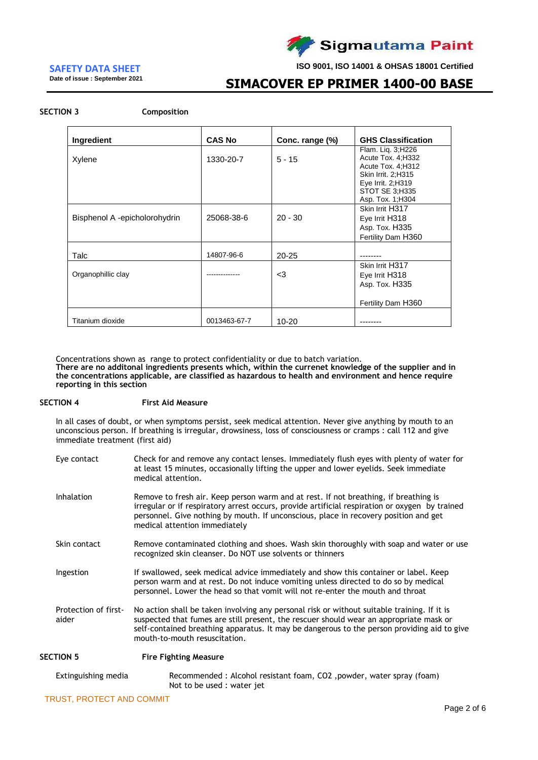

**Date of issue : September 2021**

**ISO 9001, ISO 14001 & OHSAS 18001 Certified**

## **SIMACOVER EP PRIMER 1400-00 BASE**

### **SECTION 3 Composition**

| Ingredient                    | <b>CAS No</b> | Conc. range (%) | <b>GHS Classification</b>                                                                                                                              |
|-------------------------------|---------------|-----------------|--------------------------------------------------------------------------------------------------------------------------------------------------------|
| Xylene                        | 1330-20-7     | $5 - 15$        | Flam. Lig. 3;H226<br>Acute Tox. 4; H332<br>Acute Tox. 4; H312<br>Skin Irrit. 2;H315<br>Eye Irrit. 2;H319<br><b>STOT SE 3:H335</b><br>Asp. Tox. 1; H304 |
| Bisphenol A -epicholorohydrin | 25068-38-6    | $20 - 30$       | Skin Irrit H317<br>Eye Irrit H318<br>Asp. Tox. H335<br>Fertility Dam H360                                                                              |
| Talc                          | 14807-96-6    | $20 - 25$       |                                                                                                                                                        |
| Organophillic clay            |               | $<$ 3           | Skin Irrit H317<br>Eye Irrit H318<br>Asp. Tox. H335<br>Fertility Dam H360                                                                              |
| Titanium dioxide              | 0013463-67-7  | $10 - 20$       |                                                                                                                                                        |

Concentrations shown as range to protect confidentiality or due to batch variation.

**There are no additonal ingredients presents which, within the currenet knowledge of the supplier and in the concentrations applicable, are classified as hazardous to health and environment and hence require reporting in this section**

#### **SECTION 4 First Aid Measure**

In all cases of doubt, or when symptoms persist, seek medical attention. Never give anything by mouth to an unconscious person. If breathing is irregular, drowsiness, loss of consciousness or cramps : call 112 and give immediate treatment (first aid)

| Eye contact                   | Check for and remove any contact lenses. Immediately flush eyes with plenty of water for<br>at least 15 minutes, occasionally lifting the upper and lower eyelids. Seek immediate<br>medical attention.                                                                                                               |
|-------------------------------|-----------------------------------------------------------------------------------------------------------------------------------------------------------------------------------------------------------------------------------------------------------------------------------------------------------------------|
| <b>Inhalation</b>             | Remove to fresh air. Keep person warm and at rest. If not breathing, if breathing is<br>irregular or if respiratory arrest occurs, provide artificial respiration or oxygen by trained<br>personnel. Give nothing by mouth. If unconscious, place in recovery position and get<br>medical attention immediately       |
| Skin contact                  | Remove contaminated clothing and shoes. Wash skin thoroughly with soap and water or use<br>recognized skin cleanser. Do NOT use solvents or thinners                                                                                                                                                                  |
| Ingestion                     | If swallowed, seek medical advice immediately and show this container or label. Keep<br>person warm and at rest. Do not induce vomiting unless directed to do so by medical<br>personnel. Lower the head so that vomit will not re-enter the mouth and throat                                                         |
| Protection of first-<br>aider | No action shall be taken involving any personal risk or without suitable training. If it is<br>suspected that fumes are still present, the rescuer should wear an appropriate mask or<br>self-contained breathing apparatus. It may be dangerous to the person providing aid to give<br>mouth-to-mouth resuscitation. |
| <b>SECTION 5</b>              | <b>Fire Fighting Measure</b>                                                                                                                                                                                                                                                                                          |
| Extinguishing media           | Recommended : Alcohol resistant foam, CO2, powder, water spray (foam)<br>Not to be used : water jet                                                                                                                                                                                                                   |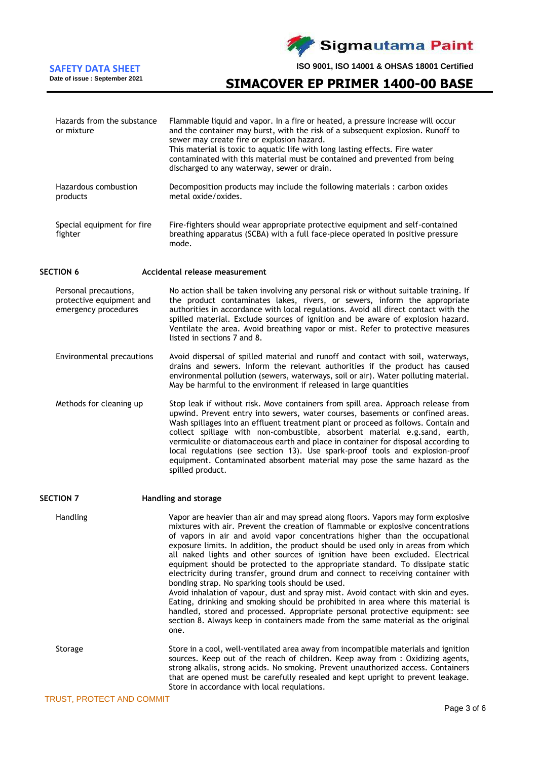**Sigmautama Paint** 

**ISO 9001, ISO 14001 & OHSAS 18001 Certified**

## **SIMACOVER EP PRIMER 1400-00 BASE**

Flammable liquid and vapor. In a fire or heated, a pressure increase will occur

| or mixture                                                                | and the container may burst, with the risk of a subsequent explosion. Runoff to<br>sewer may create fire or explosion hazard.<br>This material is toxic to aquatic life with long lasting effects. Fire water<br>contaminated with this material must be contained and prevented from being<br>discharged to any waterway, sewer or drain.                                                                                                                     |
|---------------------------------------------------------------------------|----------------------------------------------------------------------------------------------------------------------------------------------------------------------------------------------------------------------------------------------------------------------------------------------------------------------------------------------------------------------------------------------------------------------------------------------------------------|
| Hazardous combustion<br>products                                          | Decomposition products may include the following materials: carbon oxides<br>metal oxide/oxides.                                                                                                                                                                                                                                                                                                                                                               |
| Special equipment for fire<br>fighter                                     | Fire-fighters should wear appropriate protective equipment and self-contained<br>breathing apparatus (SCBA) with a full face-piece operated in positive pressure<br>mode.                                                                                                                                                                                                                                                                                      |
| <b>SECTION 6</b>                                                          | Accidental release measurement                                                                                                                                                                                                                                                                                                                                                                                                                                 |
| Personal precautions,<br>protective equipment and<br>emergency procedures | No action shall be taken involving any personal risk or without suitable training. If<br>the product contaminates lakes, rivers, or sewers, inform the appropriate<br>authorities in accordance with local regulations. Avoid all direct contact with the<br>spilled material. Exclude sources of ignition and be aware of explosion hazard.<br>Ventilate the area. Avoid breathing vapor or mist. Refer to protective measures<br>listed in sections 7 and 8. |
| F <sub>m</sub>                                                            | successive that the distinct had not the contract with a distinct on a contract the district that the district                                                                                                                                                                                                                                                                                                                                                 |

Environmental precautions Avoid dispersal of spilled material and runoff and contact with soil, waterways, drains and sewers. Inform the relevant authorities if the product has caused environmental pollution (sewers, waterways, soil or air). Water polluting material. May be harmful to the environment if released in large quantities

Methods for cleaning up Stop leak if without risk. Move containers from spill area. Approach release from upwind. Prevent entry into sewers, water courses, basements or confined areas. Wash spillages into an effluent treatment plant or proceed as follows. Contain and collect spillage with non-combustible, absorbent material e.g.sand, earth, vermiculite or diatomaceous earth and place in container for disposal according to local regulations (see section 13). Use spark-proof tools and explosion-proof equipment. Contaminated absorbent material may pose the same hazard as the spilled product.

**SECTION 7 Handling and storage** Handling Vapor are heavier than air and may spread along floors. Vapors may form explosive mixtures with air. Prevent the creation of flammable or explosive concentrations of vapors in air and avoid vapor concentrations higher than the occupational exposure limits. In addition, the product should be used only in areas from which all naked lights and other sources of ignition have been excluded. Electrical equipment should be protected to the appropriate standard. To dissipate static electricity during transfer, ground drum and connect to receiving container with bonding strap. No sparking tools should be used. Avoid inhalation of vapour, dust and spray mist. Avoid contact with skin and eyes. Eating, drinking and smoking should be prohibited in area where this material is handled, stored and processed. Appropriate personal protective equipment: see section 8. Always keep in containers made from the same material as the original one. Storage Store in a cool, well-ventilated area away from incompatible materials and ignition sources. Keep out of the reach of children. Keep away from : Oxidizing agents, strong alkalis, strong acids. No smoking. Prevent unauthorized access. Containers that are opened must be carefully resealed and kept upright to prevent leakage. Store in accordance with local requlations.

**SAFETY DATA SHEET**

**Date of issue : September 2021**

Hazards from the substance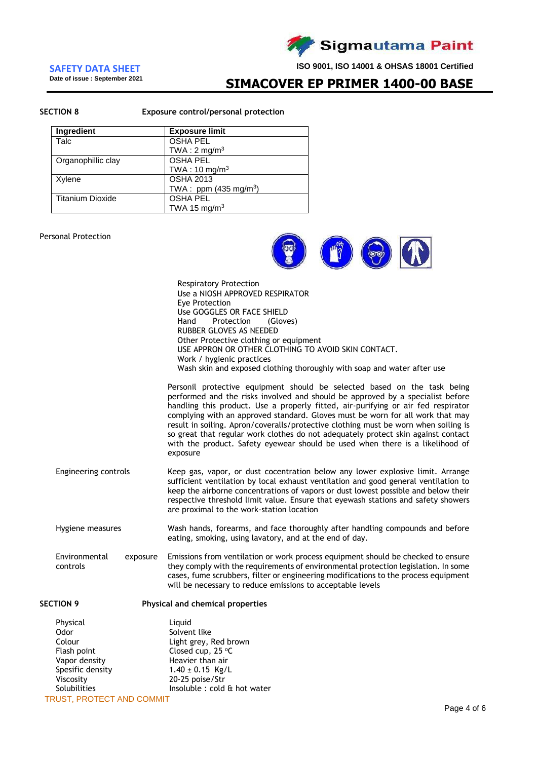

### **SAFETY DATA SHEET**

**Date of issue : September 2021**

**SIMACOVER EP PRIMER 1400-00 BASE** 

#### **SECTION 8 Exposure control/personal protection**

Respiratory Protection

| <b>Ingredient</b>       | <b>Exposure limit</b>           |
|-------------------------|---------------------------------|
| Talc                    | <b>OSHA PEL</b>                 |
|                         | TWA: $2 \text{ mg/m}^3$         |
| Organophillic clay      | <b>OSHA PEL</b>                 |
|                         | TWA: $10 \text{ mg/m}^3$        |
| Xylene                  | <b>OSHA 2013</b>                |
|                         | TWA: ppm $(435 \text{ mg/m}^3)$ |
| <b>Titanium Dioxide</b> | <b>OSHA PEL</b>                 |
|                         | TWA 15 mg/m <sup>3</sup>        |

### Personal Protection



|                                       | Use a NIOSH APPROVED RESPIRATOR<br>Eye Protection<br>Use GOGGLES OR FACE SHIELD<br>Protection<br>Hand<br>(Gloves)<br>RUBBER GLOVES AS NEEDED<br>Other Protective clothing or equipment<br>USE APPRON OR OTHER CLOTHING TO AVOID SKIN CONTACT.<br>Work / hygienic practices<br>Wash skin and exposed clothing thoroughly with soap and water after use<br>Personil protective equipment should be selected based on the task being<br>performed and the risks involved and should be approved by a specialist before |
|---------------------------------------|---------------------------------------------------------------------------------------------------------------------------------------------------------------------------------------------------------------------------------------------------------------------------------------------------------------------------------------------------------------------------------------------------------------------------------------------------------------------------------------------------------------------|
|                                       | handling this product. Use a properly fitted, air-purifying or air fed respirator<br>complying with an approved standard. Gloves must be worn for all work that may<br>result in soiling. Apron/coveralls/protective clothing must be worn when soiling is<br>so great that regular work clothes do not adequately protect skin against contact<br>with the product. Safety eyewear should be used when there is a likelihood of<br>exposure                                                                        |
| Engineering controls                  | Keep gas, vapor, or dust cocentration below any lower explosive limit. Arrange<br>sufficient ventilation by local exhaust ventilation and good general ventilation to<br>keep the airborne concentrations of vapors or dust lowest possible and below their<br>respective threshold limit value. Ensure that eyewash stations and safety showers<br>are proximal to the work-station location                                                                                                                       |
| Hygiene measures                      | Wash hands, forearms, and face thoroughly after handling compounds and before<br>eating, smoking, using lavatory, and at the end of day.                                                                                                                                                                                                                                                                                                                                                                            |
| Environmental<br>exposure<br>controls | Emissions from ventilation or work process equipment should be checked to ensure<br>they comply with the requirements of environmental protection legislation. In some<br>cases, fume scrubbers, filter or engineering modifications to the process equipment<br>will be necessary to reduce emissions to acceptable levels                                                                                                                                                                                         |
| <b>SECTION 9</b>                      | Physical and chemical properties                                                                                                                                                                                                                                                                                                                                                                                                                                                                                    |

| Physical                   | Liguid                       |
|----------------------------|------------------------------|
| Odor                       | Solvent like                 |
| Colour                     | Light grey, Red brown        |
| Flash point                | Closed cup, $25^{\circ}$ C   |
| Vapor density              | Heavier than air             |
| Spesific density           | $1.40 \pm 0.15$ Kg/L         |
| Viscosity                  | 20-25 poise/Str              |
| Solubilities               | Insoluble : cold & hot water |
| TRHIST. PROTECT AND COMMIT |                              |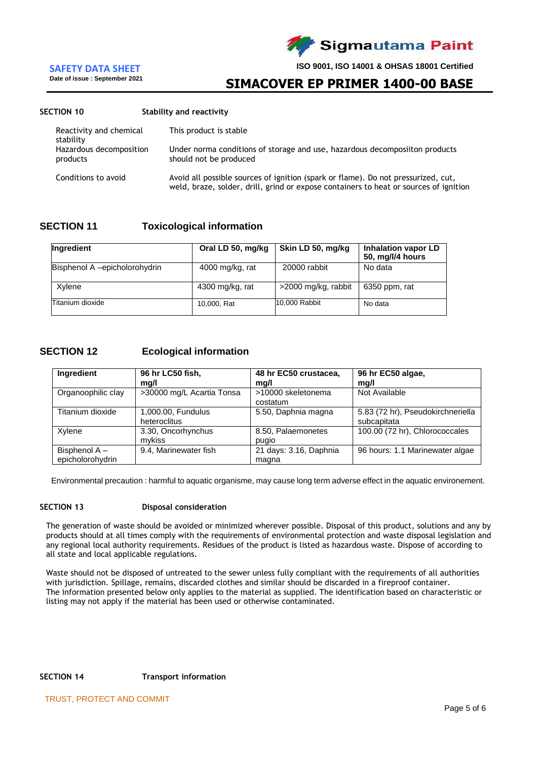

**Date of issue : September 2021**

**ISO 9001, ISO 14001 & OHSAS 18001 Certified**

## **SIMACOVER EP PRIMER 1400-00 BASE**

### **SECTION 10 Stability and reactivity**

| Reactivity and chemical<br>stability | This product is stable                                                                                                                                                     |
|--------------------------------------|----------------------------------------------------------------------------------------------------------------------------------------------------------------------------|
| Hazardous decomposition<br>products  | Under norma conditions of storage and use, hazardous decomposiiton products<br>should not be produced                                                                      |
| Conditions to avoid                  | Avoid all possible sources of ignition (spark or flame). Do not pressurized, cut,<br>weld, braze, solder, drill, grind or expose containers to heat or sources of ignition |

## **SECTION 11 Toxicological information**

| Ingredient                    | Oral LD 50, mg/kg | Skin LD 50, mg/kg   | <b>Inhalation vapor LD</b><br>50, mg/l/4 hours |
|-------------------------------|-------------------|---------------------|------------------------------------------------|
| Bisphenol A -epicholorohydrin | 4000 mg/kg, rat   | 20000 rabbit        | No data                                        |
| Xylene                        | $4300$ mg/kg, rat | >2000 mg/kg, rabbit | 6350 ppm, rat                                  |
| Titanium dioxide              | 10,000, Rat       | 10,000 Rabbit       | No data                                        |

## **SECTION 12 Ecological information**

| Ingredient                        | 96 hr LC50 fish,<br>mg/l           | 48 hr EC50 crustacea,<br>mg/l   | 96 hr EC50 algae,<br>mg/l                        |
|-----------------------------------|------------------------------------|---------------------------------|--------------------------------------------------|
| Organoophilic clay                | >30000 mg/L Acartia Tonsa          | >10000 skeletonema<br>costatum  | Not Available                                    |
| Titanium dioxide                  | 1,000.00, Fundulus<br>heteroclitus | 5.50, Daphnia magna             | 5.83 (72 hr), Pseudokirchneriella<br>subcapitata |
| Xylene                            | 3.30, Oncorhynchus<br>mvkiss       | 8.50, Palaemonetes<br>pugio     | 100.00 (72 hr), Chlorococcales                   |
| Bisphenol A -<br>epicholorohydrin | 9.4, Marinewater fish              | 21 days: 3.16, Daphnia<br>magna | 96 hours: 1.1 Marinewater algae                  |

Environmental precaution : harmful to aquatic organisme, may cause long term adverse effect in the aquatic environement.

#### **SECTION 13 Disposal consideration**

The generation of waste should be avoided or minimized wherever possible. Disposal of this product, solutions and any by products should at all times comply with the requirements of environmental protection and waste disposal legislation and any regional local authority requirements. Residues of the product is listed as hazardous waste. Dispose of according to all state and local applicable regulations.

Waste should not be disposed of untreated to the sewer unless fully compliant with the requirements of all authorities with jurisdiction. Spillage, remains, discarded clothes and similar should be discarded in a fireproof container. The information presented below only applies to the material as supplied. The identification based on characteristic or listing may not apply if the material has been used or otherwise contaminated.

## **SECTION 14 Transport information**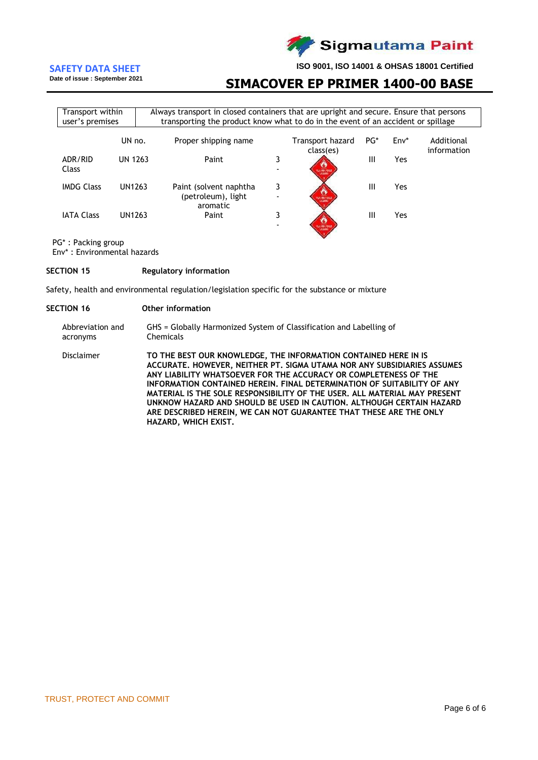

**Date of issue : September 2021**

**ISO 9001, ISO 14001 & OHSAS 18001 Certified**

## **SIMACOVER EP PRIMER 1400-00 BASE**

| Transport within<br>Always transport in closed containers that are upright and secure. Ensure that persons<br>transporting the product know what to do in the event of an accident or spillage<br>user's premises |                |                                                           |        |                               |     |        |                           |
|-------------------------------------------------------------------------------------------------------------------------------------------------------------------------------------------------------------------|----------------|-----------------------------------------------------------|--------|-------------------------------|-----|--------|---------------------------|
|                                                                                                                                                                                                                   | UN no.         | Proper shipping name                                      |        | Transport hazard<br>class(es) | PG* | $Env*$ | Additional<br>information |
| ADR/RID<br>Class                                                                                                                                                                                                  | <b>UN 1263</b> | Paint                                                     | 3      | 120,000,0383                  | Ш   | Yes    |                           |
| <b>IMDG Class</b>                                                                                                                                                                                                 | UN1263         | Paint (solvent naphtha)<br>(petroleum), light<br>aromatic | 3      | A MALABAR                     | Ш   | Yes    |                           |
| <b>IATA Class</b>                                                                                                                                                                                                 | UN1263         | Paint                                                     | 3<br>۰ |                               | Ш   | Yes    |                           |

PG\* : Packing group

Env\* : Environmental hazards

#### **SECTION 15 Regulatory information**

Safety, health and environmental regulation/legislation specific for the substance or mixture

#### **SECTION 16 Other information**

| Abbreviation and | GHS = Globally Harmonized System of Classification and Labelling of |
|------------------|---------------------------------------------------------------------|
| acronyms         | Chemicals                                                           |

Disclaimer **TO THE BEST OUR KNOWLEDGE, THE INFORMATION CONTAINED HERE IN IS ACCURATE. HOWEVER, NEITHER PT. SIGMA UTAMA NOR ANY SUBSIDIARIES ASSUMES ANY LIABILITY WHATSOEVER FOR THE ACCURACY OR COMPLETENESS OF THE INFORMATION CONTAINED HEREIN. FINAL DETERMINATION OF SUITABILITY OF ANY MATERIAL IS THE SOLE RESPONSIBILITY OF THE USER. ALL MATERIAL MAY PRESENT UNKNOW HAZARD AND SHOULD BE USED IN CAUTION. ALTHOUGH CERTAIN HAZARD ARE DESCRIBED HEREIN, WE CAN NOT GUARANTEE THAT THESE ARE THE ONLY HAZARD, WHICH EXIST.**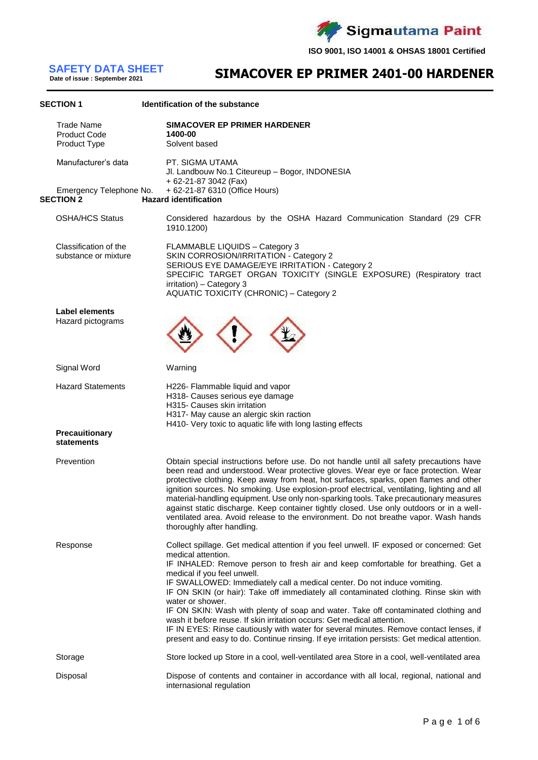Sigmautama Paint Z

**ISO 9001, ISO 14001 & OHSAS 18001 Certified**

**Date of issue : September 2021**

# **SIMACOVER EP PRIMER 2401-00 HARDENER SAFETY DATA SHEET**

| <b>SECTION 1</b>                                         | Identification of the substance                                                                                                                                                                                                                                                                                                                                                                                                                                                                                                                                                                                                                                                                                                                                                       |
|----------------------------------------------------------|---------------------------------------------------------------------------------------------------------------------------------------------------------------------------------------------------------------------------------------------------------------------------------------------------------------------------------------------------------------------------------------------------------------------------------------------------------------------------------------------------------------------------------------------------------------------------------------------------------------------------------------------------------------------------------------------------------------------------------------------------------------------------------------|
| <b>Trade Name</b><br><b>Product Code</b><br>Product Type | <b>SIMACOVER EP PRIMER HARDENER</b><br>1400-00<br>Solvent based                                                                                                                                                                                                                                                                                                                                                                                                                                                                                                                                                                                                                                                                                                                       |
| Manufacturer's data                                      | PT. SIGMA UTAMA<br>Jl. Landbouw No.1 Citeureup - Bogor, INDONESIA<br>+ 62-21-87 3042 (Fax)                                                                                                                                                                                                                                                                                                                                                                                                                                                                                                                                                                                                                                                                                            |
| Emergency Telephone No.<br><b>SECTION 2</b>              | + 62-21-87 6310 (Office Hours)<br><b>Hazard identification</b>                                                                                                                                                                                                                                                                                                                                                                                                                                                                                                                                                                                                                                                                                                                        |
| <b>OSHA/HCS Status</b>                                   | Considered hazardous by the OSHA Hazard Communication Standard (29 CFR<br>1910.1200)                                                                                                                                                                                                                                                                                                                                                                                                                                                                                                                                                                                                                                                                                                  |
| Classification of the<br>substance or mixture            | <b>FLAMMABLE LIQUIDS - Category 3</b><br>SKIN CORROSION/IRRITATION - Category 2<br>SERIOUS EYE DAMAGE/EYE IRRITATION - Category 2<br>SPECIFIC TARGET ORGAN TOXICITY (SINGLE EXPOSURE) (Respiratory tract<br>irritation) - Category 3<br><b>AQUATIC TOXICITY (CHRONIC) - Category 2</b>                                                                                                                                                                                                                                                                                                                                                                                                                                                                                                |
| <b>Label elements</b><br>Hazard pictograms               |                                                                                                                                                                                                                                                                                                                                                                                                                                                                                                                                                                                                                                                                                                                                                                                       |
| Signal Word                                              | Warning                                                                                                                                                                                                                                                                                                                                                                                                                                                                                                                                                                                                                                                                                                                                                                               |
| <b>Hazard Statements</b>                                 | H226- Flammable liquid and vapor<br>H318- Causes serious eye damage<br>H315- Causes skin irritation<br>H317- May cause an alergic skin raction<br>H410- Very toxic to aquatic life with long lasting effects                                                                                                                                                                                                                                                                                                                                                                                                                                                                                                                                                                          |
| <b>Precauitionary</b><br>statements                      |                                                                                                                                                                                                                                                                                                                                                                                                                                                                                                                                                                                                                                                                                                                                                                                       |
| Prevention                                               | Obtain special instructions before use. Do not handle until all safety precautions have<br>been read and understood. Wear protective gloves. Wear eye or face protection. Wear<br>protective clothing. Keep away from heat, hot surfaces, sparks, open flames and other<br>ignition sources. No smoking. Use explosion-proof electrical, ventilating, lighting and all<br>material-handling equipment. Use only non-sparking tools. Take precautionary measures<br>against static discharge. Keep container tightly closed. Use only outdoors or in a well-<br>ventilated area. Avoid release to the environment. Do not breathe vapor. Wash hands<br>thoroughly after handling.                                                                                                      |
| Response                                                 | Collect spillage. Get medical attention if you feel unwell. IF exposed or concerned: Get<br>medical attention.<br>IF INHALED: Remove person to fresh air and keep comfortable for breathing. Get a<br>medical if you feel unwell.<br>IF SWALLOWED: Immediately call a medical center. Do not induce vomiting.<br>IF ON SKIN (or hair): Take off immediately all contaminated clothing. Rinse skin with<br>water or shower.<br>IF ON SKIN: Wash with plenty of soap and water. Take off contaminated clothing and<br>wash it before reuse. If skin irritation occurs: Get medical attention.<br>IF IN EYES: Rinse cautiously with water for several minutes. Remove contact lenses, if<br>present and easy to do. Continue rinsing. If eye irritation persists: Get medical attention. |
| Storage                                                  | Store locked up Store in a cool, well-ventilated area Store in a cool, well-ventilated area                                                                                                                                                                                                                                                                                                                                                                                                                                                                                                                                                                                                                                                                                           |
| Disposal                                                 | Dispose of contents and container in accordance with all local, regional, national and<br>internasional regulation                                                                                                                                                                                                                                                                                                                                                                                                                                                                                                                                                                                                                                                                    |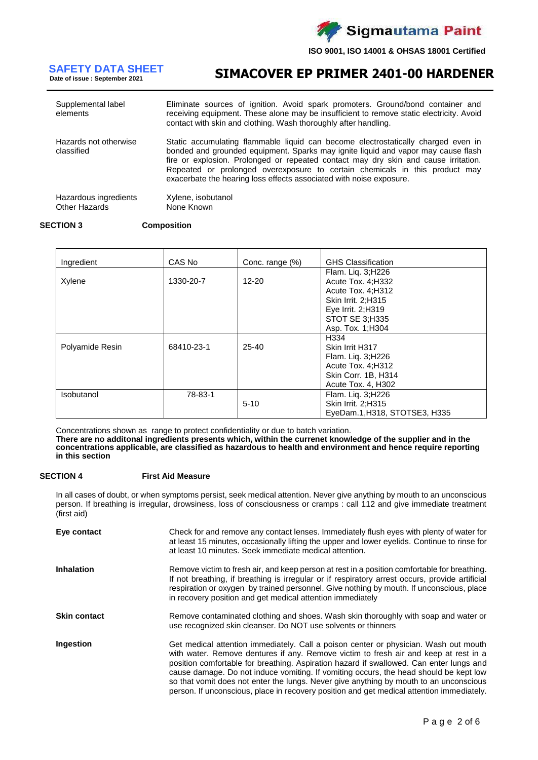

**Date of issue : September 2021**

**SIMACOVER EP PRIMER 2401-00 HARDENER SAFETY DATA SHEET**

| Supplemental label<br>elements         | Eliminate sources of ignition. Avoid spark promoters. Ground/bond container and<br>receiving equipment. These alone may be insufficient to remove static electricity. Avoid<br>contact with skin and clothing. Wash thoroughly after handling.                                                                                                                                                                      |
|----------------------------------------|---------------------------------------------------------------------------------------------------------------------------------------------------------------------------------------------------------------------------------------------------------------------------------------------------------------------------------------------------------------------------------------------------------------------|
| Hazards not otherwise<br>classified    | Static accumulating flammable liquid can become electrostatically charged even in<br>bonded and grounded equipment. Sparks may ignite liquid and vapor may cause flash<br>fire or explosion. Prolonged or repeated contact may dry skin and cause irritation.<br>Repeated or prolonged overexposure to certain chemicals in this product may<br>exacerbate the hearing loss effects associated with noise exposure. |
| Hazardous ingredients<br>Other Hazards | Xylene, isobutanol<br>None Known                                                                                                                                                                                                                                                                                                                                                                                    |

#### **SECTION 3 Composition**

| Ingredient      | CAS No     | Conc. range (%) | <b>GHS Classification</b>                                                                                                            |
|-----------------|------------|-----------------|--------------------------------------------------------------------------------------------------------------------------------------|
| Xylene          | 1330-20-7  | $12 - 20$       | Flam. Liq. 3;H226<br>Acute Tox. 4; H332<br>Acute Tox. 4; H312<br>Skin Irrit. 2;H315<br>Eye Irrit. 2; H319<br>STOT SE 3:H335          |
| Polyamide Resin | 68410-23-1 | $25 - 40$       | Asp. Tox. 1; H304<br>H334<br>Skin Irrit H317<br>Flam. Liq. 3;H226<br>Acute Tox. 4; H312<br>Skin Corr. 1B, H314<br>Acute Tox. 4, H302 |
| Isobutanol      | 78-83-1    | $5 - 10$        | Flam. Liq. 3;H226<br>Skin Irrit. 2;H315<br>EyeDam.1, H318, STOTSE3, H335                                                             |

Concentrations shown as range to protect confidentiality or due to batch variation.

**There are no additonal ingredients presents which, within the currenet knowledge of the supplier and in the concentrations applicable, are classified as hazardous to health and environment and hence require reporting in this section**

### **SECTION 4 First Aid Measure**

In all cases of doubt, or when symptoms persist, seek medical attention. Never give anything by mouth to an unconscious person. If breathing is irregular, drowsiness, loss of consciousness or cramps : call 112 and give immediate treatment (first aid)

| Eye contact         | Check for and remove any contact lenses. Immediately flush eyes with plenty of water for<br>at least 15 minutes, occasionally lifting the upper and lower eyelids. Continue to rinse for<br>at least 10 minutes. Seek immediate medical attention.                                                                                                                                                                                                                                                                                                      |
|---------------------|---------------------------------------------------------------------------------------------------------------------------------------------------------------------------------------------------------------------------------------------------------------------------------------------------------------------------------------------------------------------------------------------------------------------------------------------------------------------------------------------------------------------------------------------------------|
| <b>Inhalation</b>   | Remove victim to fresh air, and keep person at rest in a position comfortable for breathing.<br>If not breathing, if breathing is irregular or if respiratory arrest occurs, provide artificial<br>respiration or oxygen by trained personnel. Give nothing by mouth. If unconscious, place<br>in recovery position and get medical attention immediately                                                                                                                                                                                               |
| <b>Skin contact</b> | Remove contaminated clothing and shoes. Wash skin thoroughly with soap and water or<br>use recognized skin cleanser. Do NOT use solvents or thinners                                                                                                                                                                                                                                                                                                                                                                                                    |
| Ingestion           | Get medical attention immediately. Call a poison center or physician. Wash out mouth<br>with water. Remove dentures if any. Remove victim to fresh air and keep at rest in a<br>position comfortable for breathing. Aspiration hazard if swallowed. Can enter lungs and<br>cause damage. Do not induce vomiting. If vomiting occurs, the head should be kept low<br>so that vomit does not enter the lungs. Never give anything by mouth to an unconscious<br>person. If unconscious, place in recovery position and get medical attention immediately. |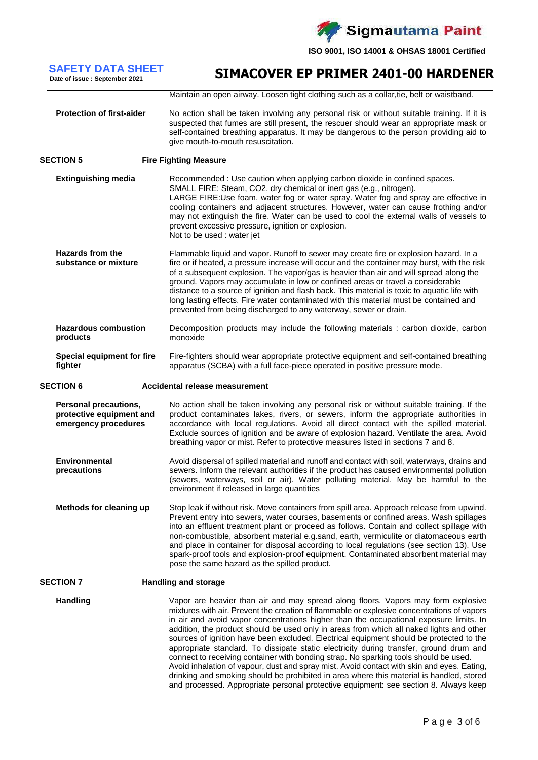

### **SIMACOVER EP PRIMER 2401-00 HARDENER SAFETY DATA SHEET Date of issue : September 2021**

Maintain an open airway. Loosen tight clothing such as a collar,tie, belt or waistband.

#### **Protection of first-aider** No action shall be taken involving any personal risk or without suitable training. If it is suspected that fumes are still present, the rescuer should wear an appropriate mask or self-contained breathing apparatus. It may be dangerous to the person providing aid to give mouth-to-mouth resuscitation.

### **SECTION 5 Fire Fighting Measure**

**Extinguishing media** Recommended : Use caution when applying carbon dioxide in confined spaces. SMALL FIRE: Steam, CO2, dry chemical or inert gas (e.g., nitrogen). LARGE FIRE:Use foam, water fog or water spray. Water fog and spray are effective in cooling containers and adjacent structures. However, water can cause frothing and/or may not extinguish the fire. Water can be used to cool the external walls of vessels to prevent excessive pressure, ignition or explosion. Not to be used : water jet **Hazards from the substance or mixture** Flammable liquid and vapor. Runoff to sewer may create fire or explosion hazard. In a fire or if heated, a pressure increase will occur and the container may burst, with the risk of a subsequent explosion. The vapor/gas is heavier than air and will spread along the ground. Vapors may accumulate in low or confined areas or travel a considerable distance to a source of ignition and flash back. This material is toxic to aquatic life with long lasting effects. Fire water contaminated with this material must be contained and

**Hazardous combustion products** Decomposition products may include the following materials : carbon dioxide, carbon monoxide

prevented from being discharged to any waterway, sewer or drain.

**Special equipment for fire fighter** Fire-fighters should wear appropriate protective equipment and self-contained breathing apparatus (SCBA) with a full face-piece operated in positive pressure mode.

#### **SECTION 6 Accidental release measurement**

- **Personal precautions, protective equipment and emergency procedures** No action shall be taken involving any personal risk or without suitable training. If the product contaminates lakes, rivers, or sewers, inform the appropriate authorities in accordance with local regulations. Avoid all direct contact with the spilled material. Exclude sources of ignition and be aware of explosion hazard. Ventilate the area. Avoid breathing vapor or mist. Refer to protective measures listed in sections 7 and 8.
- **Environmental precautions** Avoid dispersal of spilled material and runoff and contact with soil, waterways, drains and sewers. Inform the relevant authorities if the product has caused environmental pollution (sewers, waterways, soil or air). Water polluting material. May be harmful to the environment if released in large quantities
- **Methods for cleaning up** Stop leak if without risk. Move containers from spill area. Approach release from upwind. Prevent entry into sewers, water courses, basements or confined areas. Wash spillages into an effluent treatment plant or proceed as follows. Contain and collect spillage with non-combustible, absorbent material e.g.sand, earth, vermiculite or diatomaceous earth and place in container for disposal according to local regulations (see section 13). Use spark-proof tools and explosion-proof equipment. Contaminated absorbent material may pose the same hazard as the spilled product.

### **SECTION 7 Handling and storage**

**Handling** Vapor are heavier than air and may spread along floors. Vapors may form explosive mixtures with air. Prevent the creation of flammable or explosive concentrations of vapors in air and avoid vapor concentrations higher than the occupational exposure limits. In addition, the product should be used only in areas from which all naked lights and other sources of ignition have been excluded. Electrical equipment should be protected to the appropriate standard. To dissipate static electricity during transfer, ground drum and connect to receiving container with bonding strap. No sparking tools should be used. Avoid inhalation of vapour, dust and spray mist. Avoid contact with skin and eyes. Eating, drinking and smoking should be prohibited in area where this material is handled, stored and processed. Appropriate personal protective equipment: see section 8. Always keep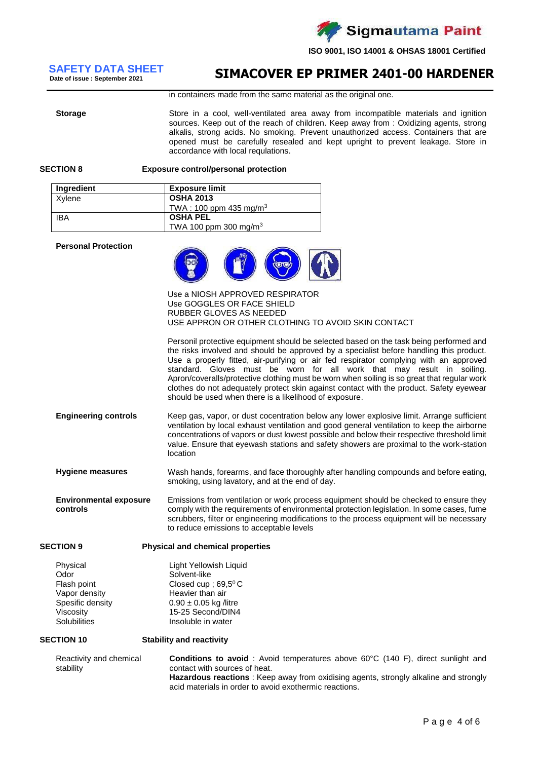

# **Date of issue : September 2021**

# **SIMACOVER EP PRIMER 2401-00 HARDENER SAFETY DATA SHEET**

in containers made from the same material as the original one.

**Storage** Store in a cool, well-ventilated area away from incompatible materials and ignition sources. Keep out of the reach of children. Keep away from : Oxidizing agents, strong alkalis, strong acids. No smoking. Prevent unauthorized access. Containers that are opened must be carefully resealed and kept upright to prevent leakage. Store in accordance with local requlations.

#### **SECTION 8 Exposure control/personal protection**

| Ingredient | <b>Exposure limit</b>              |
|------------|------------------------------------|
| Xvlene     | <b>OSHA 2013</b>                   |
|            | TWA: 100 ppm 435 mg/m <sup>3</sup> |
| <b>IBA</b> | <b>OSHA PEL</b>                    |
|            | TWA 100 ppm 300 mg/m <sup>3</sup>  |

#### **Personal Protection**

| Personal Protection                                                                               |                                                                                                                                                                                                                                                                                                                                                                                                                                                                                                                                                                                                          |
|---------------------------------------------------------------------------------------------------|----------------------------------------------------------------------------------------------------------------------------------------------------------------------------------------------------------------------------------------------------------------------------------------------------------------------------------------------------------------------------------------------------------------------------------------------------------------------------------------------------------------------------------------------------------------------------------------------------------|
|                                                                                                   | Use a NIOSH APPROVED RESPIRATOR<br>Use GOGGLES OR FACE SHIELD<br>RUBBER GLOVES AS NEEDED<br>USE APPRON OR OTHER CLOTHING TO AVOID SKIN CONTACT                                                                                                                                                                                                                                                                                                                                                                                                                                                           |
|                                                                                                   | Personil protective equipment should be selected based on the task being performed and<br>the risks involved and should be approved by a specialist before handling this product.<br>Use a properly fitted, air-purifying or air fed respirator complying with an approved<br>standard. Gloves must be worn for all work that may result in soiling.<br>Apron/coveralls/protective clothing must be worn when soiling is so great that regular work<br>clothes do not adequately protect skin against contact with the product. Safety eyewear<br>should be used when there is a likelihood of exposure. |
| <b>Engineering controls</b>                                                                       | Keep gas, vapor, or dust cocentration below any lower explosive limit. Arrange sufficient<br>ventilation by local exhaust ventilation and good general ventilation to keep the airborne<br>concentrations of vapors or dust lowest possible and below their respective threshold limit<br>value. Ensure that eyewash stations and safety showers are proximal to the work-station<br>location                                                                                                                                                                                                            |
| <b>Hygiene measures</b>                                                                           | Wash hands, forearms, and face thoroughly after handling compounds and before eating,<br>smoking, using lavatory, and at the end of day.                                                                                                                                                                                                                                                                                                                                                                                                                                                                 |
| <b>Environmental exposure</b><br>controls                                                         | Emissions from ventilation or work process equipment should be checked to ensure they<br>comply with the requirements of environmental protection legislation. In some cases, fume<br>scrubbers, filter or engineering modifications to the process equipment will be necessary<br>to reduce emissions to acceptable levels                                                                                                                                                                                                                                                                              |
| <b>SECTION 9</b>                                                                                  | <b>Physical and chemical properties</b>                                                                                                                                                                                                                                                                                                                                                                                                                                                                                                                                                                  |
| Physical<br>Odor<br>Flash point<br>Vapor density<br>Spesific density<br>Viscosity<br>Solubilities | Light Yellowish Liquid<br>Solvent-like<br>Closed cup ; $69,5^{\circ}$ C<br>Heavier than air<br>$0.90 \pm 0.05$ kg /litre<br>15-25 Second/DIN4<br>Insoluble in water                                                                                                                                                                                                                                                                                                                                                                                                                                      |
| <b>SECTION 10</b>                                                                                 | <b>Stability and reactivity</b>                                                                                                                                                                                                                                                                                                                                                                                                                                                                                                                                                                          |
| Reactivity and chemical<br>stability                                                              | <b>Conditions to avoid</b> : Avoid temperatures above $60^{\circ}$ C (140 F), direct sunlight and<br>contact with sources of heat.                                                                                                                                                                                                                                                                                                                                                                                                                                                                       |

contact with sources of heat. **Hazardous reactions** : Keep away from oxidising agents, strongly alkaline and strongly acid materials in order to avoid exothermic reactions.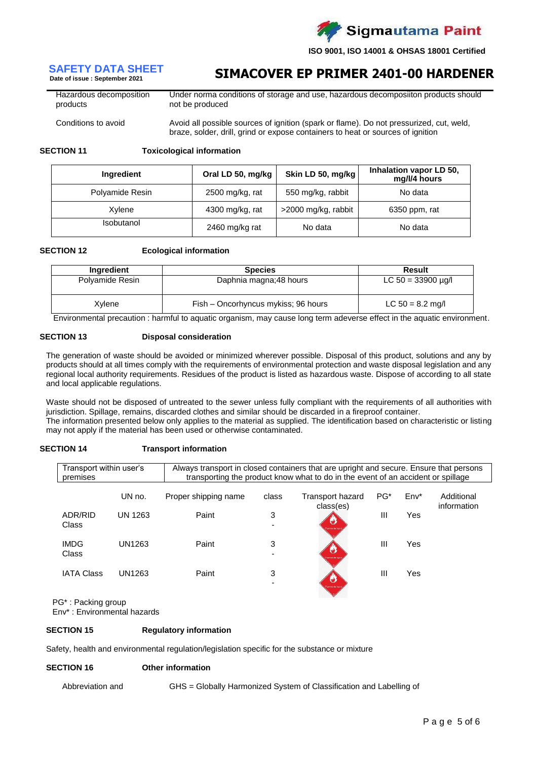

**Date of issue : September 2021**

# **SIMACOVER EP PRIMER 2401-00 HARDENER SAFETY DATA SHEET**

Hazardous decomposition products Under norma conditions of storage and use, hazardous decomposiiton products should not be produced

Conditions to avoid **Avoid all possible sources of ignition (spark or flame)**. Do not pressurized, cut, weld, braze, solder, drill, grind or expose containers to heat or sources of ignition

**SECTION 11 Toxicological information**

| Ingredient        | Oral LD 50, mg/kg | Skin LD 50, mg/kg   | Inhalation vapor LD 50,<br>mg/l/4 hours |  |
|-------------------|-------------------|---------------------|-----------------------------------------|--|
| Polyamide Resin   | 2500 mg/kg, rat   | 550 mg/kg, rabbit   | No data                                 |  |
| Xylene            | 4300 mg/kg, rat   | >2000 mg/kg, rabbit | 6350 ppm, rat                           |  |
| <b>Isobutanol</b> | 2460 mg/kg rat    | No data             | No data                                 |  |

#### **SECTION 12 Ecological information**

| Ingredient      | <b>Species</b>                      | Result                  |
|-----------------|-------------------------------------|-------------------------|
| Polyamide Resin | Daphnia magna; 48 hours             | LC $50 = 33900 \mu q/l$ |
| Xvlene          | Fish - Oncorhyncus mykiss; 96 hours | LC $50 = 8.2$ mg/l      |

Environmental precaution : harmful to aquatic organism, may cause long term adeverse effect in the aquatic environment.

#### **SECTION 13 Disposal consideration**

The generation of waste should be avoided or minimized wherever possible. Disposal of this product, solutions and any by products should at all times comply with the requirements of environmental protection and waste disposal legislation and any regional local authority requirements. Residues of the product is listed as hazardous waste. Dispose of according to all state and local applicable regulations.

Waste should not be disposed of untreated to the sewer unless fully compliant with the requirements of all authorities with jurisdiction. Spillage, remains, discarded clothes and similar should be discarded in a fireproof container. The information presented below only applies to the material as supplied. The identification based on characteristic or listing

may not apply if the material has been used or otherwise contaminated.

| <b>SECTION 14</b> | <b>Transport information</b> |
|-------------------|------------------------------|
|                   |                              |

| Transport within user's<br>premises |         | Always transport in closed containers that are upright and secure. Ensure that persons<br>transporting the product know what to do in the event of an accident or spillage |       |                                      |                 |        |                           |
|-------------------------------------|---------|----------------------------------------------------------------------------------------------------------------------------------------------------------------------------|-------|--------------------------------------|-----------------|--------|---------------------------|
|                                     | UN no.  | Proper shipping name                                                                                                                                                       | class | <b>Transport hazard</b><br>class(es) | PG <sup>*</sup> | $Env*$ | Additional<br>information |
| ADR/RID<br>Class                    | UN 1263 | Paint                                                                                                                                                                      | 3     | U<br>lammable inc.                   | $\mathbf{III}$  | Yes    |                           |
| <b>IMDG</b><br>Class                | UN1263  | Paint                                                                                                                                                                      | 3     | U<br>wrenoste inu                    | $\mathbf{III}$  | Yes    |                           |
| <b>IATA Class</b>                   | UN1263  | Paint                                                                                                                                                                      | 3     | w<br>purements ago                   | $\mathbf{III}$  | Yes    |                           |

PG\* : Packing group

Env\* : Environmental hazards

#### **SECTION 15 Regulatory information**

Safety, health and environmental regulation/legislation specific for the substance or mixture

#### **SECTION 16 Other information**

Abbreviation and GHS = Globally Harmonized System of Classification and Labelling of